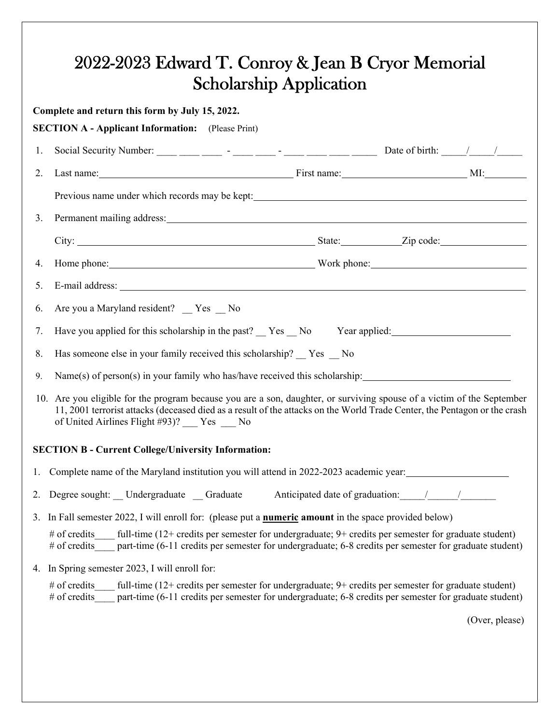|    | Complete and return this form by July 15, 2022.<br><b>SECTION A - Applicant Information:</b> (Please Print)                                                                                                                                                                                   |
|----|-----------------------------------------------------------------------------------------------------------------------------------------------------------------------------------------------------------------------------------------------------------------------------------------------|
| 1. |                                                                                                                                                                                                                                                                                               |
| 2. |                                                                                                                                                                                                                                                                                               |
|    |                                                                                                                                                                                                                                                                                               |
| 3. |                                                                                                                                                                                                                                                                                               |
|    |                                                                                                                                                                                                                                                                                               |
| 4. | Home phone: North phone blues and the phone blues work phone: North phone: North phone blues are seen to be a set of the set of the set of the set of the set of the set of the set of the set of the set of the set of the se                                                                |
| 5. |                                                                                                                                                                                                                                                                                               |
| 6. | Are you a Maryland resident? _ Yes _ No                                                                                                                                                                                                                                                       |
| 7. | Have you applied for this scholarship in the past? __ Yes __ No Year applied: _____________________                                                                                                                                                                                           |
| 8. | Has someone else in your family received this scholarship? Yes No                                                                                                                                                                                                                             |
| 9. | Name(s) of person(s) in your family who has/have received this scholarship: __________________________________                                                                                                                                                                                |
|    | 10. Are you eligible for the program because you are a son, daughter, or surviving spouse of a victim of the September<br>11, 2001 terrorist attacks (deceased died as a result of the attacks on the World Trade Center, the Pentagon or the crash<br>of United Airlines Flight #93)? Yes No |
|    | <b>SECTION B - Current College/University Information:</b>                                                                                                                                                                                                                                    |
| 1. | Complete name of the Maryland institution you will attend in 2022-2023 academic year:                                                                                                                                                                                                         |
| 2. | Degree sought: Undergraduate Graduate<br>Anticipated date of graduation: / /                                                                                                                                                                                                                  |
|    | 3. In Fall semester 2022, I will enroll for: (please put a <b>numeric amount</b> in the space provided below)                                                                                                                                                                                 |
|    | # of credits<br>full-time (12+ credits per semester for undergraduate; 9+ credits per semester for graduate student)<br># of credits<br>part-time (6-11 credits per semester for undergraduate; 6-8 credits per semester for graduate student)                                                |
|    | 4. In Spring semester 2023, I will enroll for:                                                                                                                                                                                                                                                |
|    | full-time $(12 + \text{credits per semester for undergraduate}; 9 + \text{ credits per semester for graduate student})$<br># of credits<br># of credits<br>part-time (6-11 credits per semester for undergraduate; 6-8 credits per semester for graduate student)                             |
|    |                                                                                                                                                                                                                                                                                               |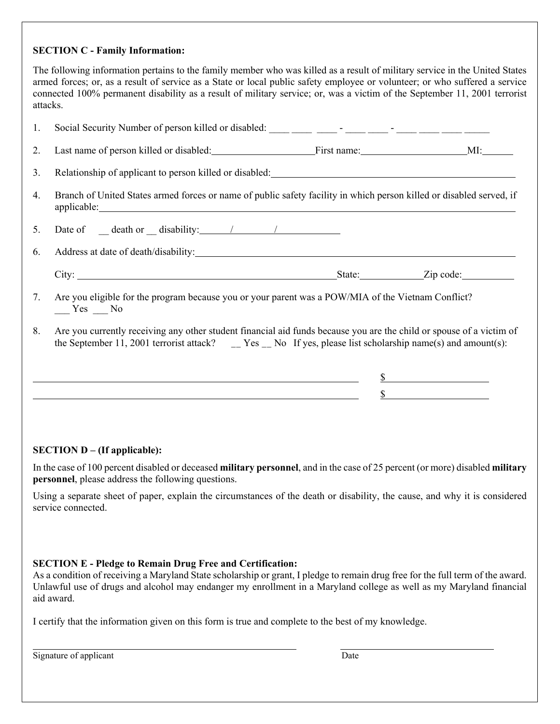### **SECTION C - Family Information:**

The following information pertains to the family member who was killed as a result of military service in the United States armed forces; or, as a result of service as a State or local public safety employee or volunteer; or who suffered a service connected 100% permanent disability as a result of military service; or, was a victim of the September 11, 2001 terrorist attacks.

| 1. | Social Security Number of person killed or disabled: ____ ___ ___ - ____ - ____ - ____ ____ ____ ___                                                                                                                                                     |                             |
|----|----------------------------------------------------------------------------------------------------------------------------------------------------------------------------------------------------------------------------------------------------------|-----------------------------|
| 2. | Last name of person killed or disabled: First name: First name: MI:                                                                                                                                                                                      |                             |
| 3. | Relationship of applicant to person killed or disabled: Manufacture and the property of applicant to person killed or disabled:                                                                                                                          |                             |
| 4. | Branch of United States armed forces or name of public safety facility in which person killed or disabled served, if                                                                                                                                     |                             |
| 5. | Date of $\qquad$ death or $\qquad$ disability: $\qquad$ /                                                                                                                                                                                                |                             |
| 6. |                                                                                                                                                                                                                                                          |                             |
|    |                                                                                                                                                                                                                                                          |                             |
| 7. | Are you eligible for the program because you or your parent was a POW/MIA of the Vietnam Conflict?<br>$Yes$ No                                                                                                                                           |                             |
| 8. | Are you currently receiving any other student financial aid funds because you are the child or spouse of a victim of<br>the September 11, 2001 terrorist attack? $\qquad \qquad \_$ Yes $\_\_$ No If yes, please list scholarship name(s) and amount(s): |                             |
|    | <u> 1989 - Jan Samuel Barbara, margaret e populazion del control del control del control del control de la control</u>                                                                                                                                   | $\mathbb{S}$                |
|    | <u> 1980 - Johann Stoff, deutscher Stoffen und der Stoffen und der Stoffen und der Stoffen und der Stoffen und de</u>                                                                                                                                    | $\frac{\text{S}}{\text{S}}$ |
|    |                                                                                                                                                                                                                                                          |                             |

### **SECTION D – (If applicable):**

In the case of 100 percent disabled or deceased **military personnel**, and in the case of 25 percent (or more) disabled **military personnel**, please address the following questions.

Using a separate sheet of paper, explain the circumstances of the death or disability, the cause, and why it is considered service connected.

### **SECTION E - Pledge to Remain Drug Free and Certification:**

As a condition of receiving a Maryland State scholarship or grant, I pledge to remain drug free for the full term of the award. Unlawful use of drugs and alcohol may endanger my enrollment in a Maryland college as well as my Maryland financial aid award.

I certify that the information given on this form is true and complete to the best of my knowledge.

Signature of applicant Date

l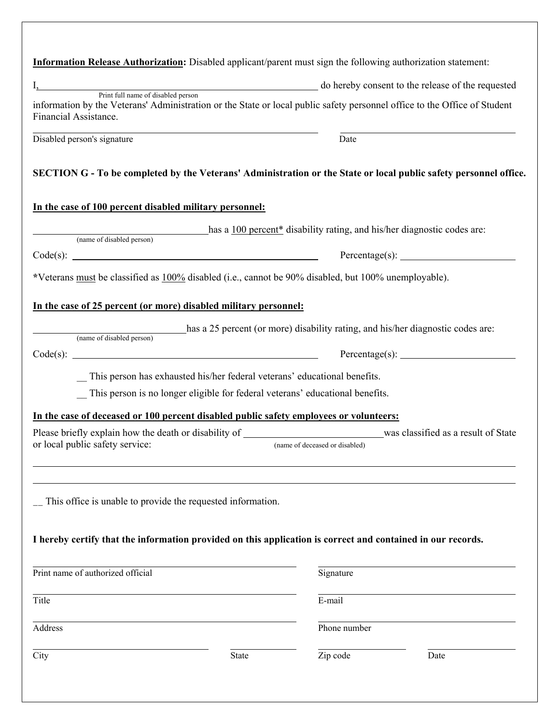| I, http://www.fillmame.of.disabled.person do hereby consent to the release of the requested<br>information by the Veterans' Administration or the State or local public safety personnel office to the Office of Student<br>Date<br>SECTION G - To be completed by the Veterans' Administration or the State or local public safety personnel office.<br>has a 100 percent* disability rating, and his/her diagnostic codes are:<br>(name of disabled person)<br>Percentage(s):<br>*Veterans must be classified as 100% disabled (i.e., cannot be 90% disabled, but 100% unemployable).<br>has a 25 percent (or more) disability rating, and his/her diagnostic codes are:<br>(name of disabled person) |
|---------------------------------------------------------------------------------------------------------------------------------------------------------------------------------------------------------------------------------------------------------------------------------------------------------------------------------------------------------------------------------------------------------------------------------------------------------------------------------------------------------------------------------------------------------------------------------------------------------------------------------------------------------------------------------------------------------|
|                                                                                                                                                                                                                                                                                                                                                                                                                                                                                                                                                                                                                                                                                                         |
|                                                                                                                                                                                                                                                                                                                                                                                                                                                                                                                                                                                                                                                                                                         |
|                                                                                                                                                                                                                                                                                                                                                                                                                                                                                                                                                                                                                                                                                                         |
|                                                                                                                                                                                                                                                                                                                                                                                                                                                                                                                                                                                                                                                                                                         |
|                                                                                                                                                                                                                                                                                                                                                                                                                                                                                                                                                                                                                                                                                                         |
|                                                                                                                                                                                                                                                                                                                                                                                                                                                                                                                                                                                                                                                                                                         |
|                                                                                                                                                                                                                                                                                                                                                                                                                                                                                                                                                                                                                                                                                                         |
|                                                                                                                                                                                                                                                                                                                                                                                                                                                                                                                                                                                                                                                                                                         |
|                                                                                                                                                                                                                                                                                                                                                                                                                                                                                                                                                                                                                                                                                                         |
|                                                                                                                                                                                                                                                                                                                                                                                                                                                                                                                                                                                                                                                                                                         |
|                                                                                                                                                                                                                                                                                                                                                                                                                                                                                                                                                                                                                                                                                                         |
|                                                                                                                                                                                                                                                                                                                                                                                                                                                                                                                                                                                                                                                                                                         |
| This person has exhausted his/her federal veterans' educational benefits.                                                                                                                                                                                                                                                                                                                                                                                                                                                                                                                                                                                                                               |
| _ This person is no longer eligible for federal veterans' educational benefits.                                                                                                                                                                                                                                                                                                                                                                                                                                                                                                                                                                                                                         |
| In the case of deceased or 100 percent disabled public safety employees or volunteers:                                                                                                                                                                                                                                                                                                                                                                                                                                                                                                                                                                                                                  |
| (name of deceased or disabled)                                                                                                                                                                                                                                                                                                                                                                                                                                                                                                                                                                                                                                                                          |
|                                                                                                                                                                                                                                                                                                                                                                                                                                                                                                                                                                                                                                                                                                         |
| I hereby certify that the information provided on this application is correct and contained in our records.                                                                                                                                                                                                                                                                                                                                                                                                                                                                                                                                                                                             |
|                                                                                                                                                                                                                                                                                                                                                                                                                                                                                                                                                                                                                                                                                                         |
| Signature                                                                                                                                                                                                                                                                                                                                                                                                                                                                                                                                                                                                                                                                                               |
|                                                                                                                                                                                                                                                                                                                                                                                                                                                                                                                                                                                                                                                                                                         |
| Phone number                                                                                                                                                                                                                                                                                                                                                                                                                                                                                                                                                                                                                                                                                            |
|                                                                                                                                                                                                                                                                                                                                                                                                                                                                                                                                                                                                                                                                                                         |